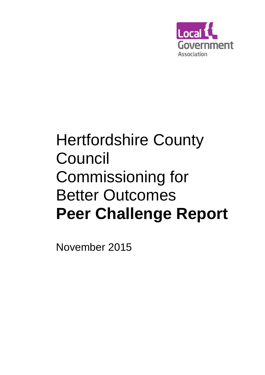

# Hertfordshire County Council Commissioning for Better Outcomes **Peer Challenge Report**

November 2015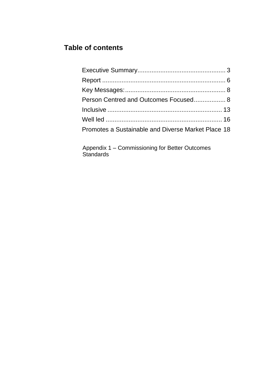## **Table of contents**

| Person Centred and Outcomes Focused 8              |  |
|----------------------------------------------------|--|
|                                                    |  |
|                                                    |  |
| Promotes a Sustainable and Diverse Market Place 18 |  |

Appendix 1 – Commissioning for Better Outcomes Standards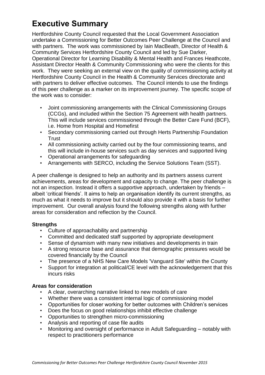# **Executive Summary**

Hertfordshire County Council requested that the Local Government Association undertake a Commissioning for Better Outcomes Peer Challenge at the Council and with partners. The work was commissioned by Iain MacBeath, Director of Health & Community Services Hertfordshire County Council and led by Sue Darker, Operational Director for Learning Disability & Mental Health and Frances Heathcote, Assistant Director Health & Community Commissioning who were the clients for this work. They were seeking an external view on the quality of commissioning activity at Hertfordshire County Council in the Health & Community Services directorate and with partners to deliver effective outcomes. The Council intends to use the findings of this peer challenge as a marker on its improvement journey. The specific scope of the work was to consider:

- Joint commissioning arrangements with the Clinical Commissioning Groups (CCGs), and included within the Section 75 Agreement with health partners. This will include services commissioned through the Better Care Fund (BCF), i.e. Home from Hospital and Homefirst
- Secondary commissioning carried out through Herts Partnership Foundation **Trust**
- All commissioning activity carried out by the four commissioning teams, and this will include in-house services such as day services and supported living
- Operational arrangements for safeguarding
- Arrangements with SERCO, including the Service Solutions Team (SST).

A peer challenge is designed to help an authority and its partners assess current achievements, areas for development and capacity to change. The peer challenge is not an inspection. Instead it offers a supportive approach, undertaken by friends – albeit 'critical friends'. It aims to help an organisation identify its current strengths, as much as what it needs to improve but it should also provide it with a basis for further improvement. Our overall analysis found the following strengths along with further areas for consideration and reflection by the Council.

#### **Strengths**

- Culture of approachability and partnership
- Committed and dedicated staff supported by appropriate development
- Sense of dynamism with many new initiatives and developments in train
- A strong resource base and assurance that demographic pressures would be covered financially by the Council
- The presence of a NHS New Care Models 'Vanguard Site' within the County
- Support for integration at political/CE level with the acknowledgement that this incurs risks

#### **Areas for consideration**

- A clear, overarching narrative linked to new models of care
- Whether there was a consistent internal logic of commissioning model
- Opportunities for closer working for better outcomes with Children's services
- Does the focus on good relationships inhibit effective challenge
- Opportunities to strengthen micro-commissioning
- Analysis and reporting of case file audits
- Monitoring and oversight of performance in Adult Safeguarding notably with respect to practitioners performance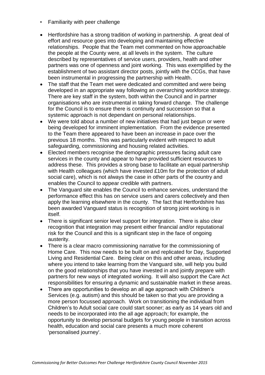- Familiarity with peer challenge
- Hertfordshire has a strong tradition of working in partnership. A great deal of effort and resource goes into developing and maintaining effective relationships. People that the Team met commented on how approachable the people at the County were, at all levels in the system. The culture described by representatives of service users, providers, health and other partners was one of openness and joint working. This was exemplified by the establishment of two assistant director posts, jointly with the CCGs, that have been instrumental in progressing the partnership with Health.
- The staff that the Team met were dedicated and committed and were being developed in an appropriate way following an overarching workforce strategy. There are key staff in the system, both within the Council and in partner organisations who are instrumental in taking forward change. The challenge for the Council is to ensure there is continuity and succession so that a systemic approach is not dependant on personal relationships.
- We were told about a number of new initiatives that had just begun or were being developed for imminent implementation. From the evidence presented to the Team there appeared to have been an increase in pace over the previous 18 months. This was particularly evident with respect to adult safeguarding, commissioning and housing related activities.
- Elected members recognise the demographic pressures facing adult care services in the county and appear to have provided sufficient resources to address these. This provides a strong base to facilitate an equal partnership with Health colleagues (which have invested £10m for the protection of adult social care), which is not always the case in other parts of the country and enables the Council to appear credible with partners.
- The Vanguard site enables the Council to enhance services, understand the performance effect this has on service users and carers collectively and then apply the learning elsewhere in the county. The fact that Hertfordshire has been awarded Vanguard status is recognition of strong joint working is in itself.
- There is significant senior level support for integration. There is also clear recognition that integration may present either financial and/or reputational risk for the Council and this is a significant step in the face of ongoing austerity.
- There is a clear macro commissioning narrative for the commissioning of Home Care. This now needs to be built on and replicated for Day, Supported Living and Residential Care. Being clear on this and other areas, including where you intend to take learning from the Vanguard site, will help you build on the good relationships that you have invested in and jointly prepare with partners for new ways of integrated working. It will also support the Care Act responsibilities for ensuring a dynamic and sustainable market in these areas.
- There are opportunities to develop an all age approach with Children's Services (e.g. autism) and this should be taken so that you are providing a more person focussed approach. Work on transitioning the individual from Children's to Adult social care could start sooner; as early as 14 years old and needs to be incorporated into the all age approach; for example, the opportunity to develop personal budgets for young people in transition across health, education and social care presents a much more coherent 'personalised journey'.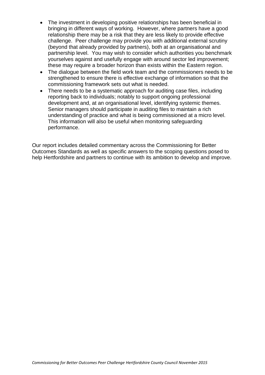- The investment in developing positive relationships has been beneficial in bringing in different ways of working. However, where partners have a good relationship there may be a risk that they are less likely to provide effective challenge. Peer challenge may provide you with additional external scrutiny (beyond that already provided by partners), both at an organisational and partnership level. You may wish to consider which authorities you benchmark yourselves against and usefully engage with around sector led improvement; these may require a broader horizon than exists within the Eastern region.
- The dialogue between the field work team and the commissioners needs to be strengthened to ensure there is effective exchange of information so that the commissioning framework sets out what is needed.
- There needs to be a systematic approach for auditing case files, including reporting back to individuals; notably to support ongoing professional development and, at an organisational level, identifying systemic themes. Senior managers should participate in auditing files to maintain a rich understanding of practice and what is being commissioned at a micro level. This information will also be useful when monitoring safeguarding performance.

Our report includes detailed commentary across the Commissioning for Better Outcomes Standards as well as specific answers to the scoping questions posed to help Hertfordshire and partners to continue with its ambition to develop and improve.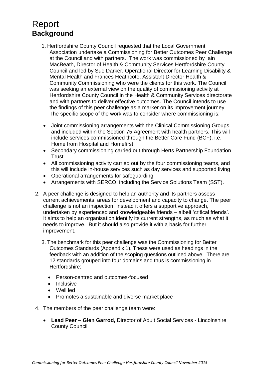# <span id="page-5-0"></span>Report **Background**

- 1. Hertfordshire County Council requested that the Local Government Association undertake a Commissioning for Better Outcomes Peer Challenge at the Council and with partners. The work was commissioned by Iain MacBeath, Director of Health & Community Services Hertfordshire County Council and led by Sue Darker, Operational Director for Learning Disability & Mental Health and Frances Heathcote, Assistant Director Health & Community Commissioning who were the clients for this work. The Council was seeking an external view on the quality of commissioning activity at Hertfordshire County Council in the Health & Community Services directorate and with partners to deliver effective outcomes. The Council intends to use the findings of this peer challenge as a marker on its improvement journey. The specific scope of the work was to consider where commissioning is:
- Joint commissioning arrangements with the Clinical Commissioning Groups, and included within the Section 75 Agreement with health partners. This will include services commissioned through the Better Care Fund (BCF), i.e. Home from Hospital and Homefirst
- Secondary commissioning carried out through Herts Partnership Foundation **Trust**
- All commissioning activity carried out by the four commissioning teams, and this will include in-house services such as day services and supported living
- Operational arrangements for safeguarding
- Arrangements with SERCO, including the Service Solutions Team (SST).
- 2. A peer challenge is designed to help an authority and its partners assess current achievements, areas for development and capacity to change. The peer challenge is not an inspection. Instead it offers a supportive approach, undertaken by experienced and knowledgeable friends – albeit 'critical friends'. It aims to help an organisation identify its current strengths, as much as what it needs to improve. But it should also provide it with a basis for further improvement.
	- 3. The benchmark for this peer challenge was the Commissioning for Better Outcomes Standards (Appendix 1). These were used as headings in the feedback with an addition of the scoping questions outlined above. There are 12 standards grouped into four domains and thus is commissioning in Hertfordshire:
		- Person-centred and outcomes-focused
		- Inclusive
		- Well led
		- Promotes a sustainable and diverse market place
- 4. The members of the peer challenge team were:
	- **Lead Peer – Glen Garrod,** Director of Adult Social Services Lincolnshire County Council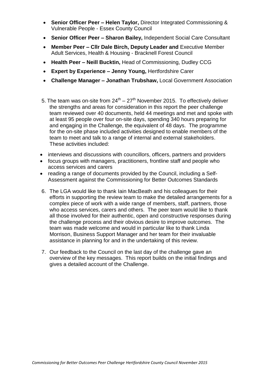- **Senior Officer Peer – Helen Taylor,** Director Integrated Commissioning & Vulnerable People - Essex County Council
- **Senior Officer Peer – Sharon Bailey,** Independent Social Care Consultant
- **Member Peer – Cllr Dale Birch, Deputy Leader and** Executive Member Adult Services, Health & Housing - Bracknell Forest Council
- **Health Peer – Neill Bucktin,** Head of Commissioning, Dudley CCG
- **Expert by Experience – Jenny Young,** Hertfordshire Carer
- **Challenge Manager – Jonathan Trubshaw,** Local Government Association
- 5. The team was on-site from  $24^{th} 27^{th}$  November 2015. To effectively deliver the strengths and areas for consideration in this report the peer challenge team reviewed over 40 documents, held 44 meetings and met and spoke with at least 95 people over four on-site days, spending 340 hours preparing for and engaging in the Challenge, the equivalent of 48 days. The programme for the on-site phase included activities designed to enable members of the team to meet and talk to a range of internal and external stakeholders. These activities included:
- interviews and discussions with councillors, officers, partners and providers
- focus groups with managers, practitioners, frontline staff and people who access services and carers
- reading a range of documents provided by the Council, including a Self-Assessment against the Commissioning for Better Outcomes Standards
- 6. The LGA would like to thank Iain MacBeath and his colleagues for their efforts in supporting the review team to make the detailed arrangements for a complex piece of work with a wide range of members, staff, partners, those who access services, carers and others. The peer team would like to thank all those involved for their authentic, open and constructive responses during the challenge process and their obvious desire to improve outcomes. The team was made welcome and would in particular like to thank Linda Morrison, Business Support Manager and her team for their invaluable assistance in planning for and in the undertaking of this review.
- 7. Our feedback to the Council on the last day of the challenge gave an overview of the key messages. This report builds on the initial findings and gives a detailed account of the Challenge.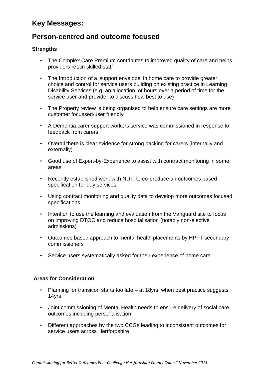## <span id="page-7-0"></span>**Key Messages:**

## **Person-centred and outcome focused**

#### **Strengths**

- The Complex Care Premium contributes to improved quality of care and helps providers retain skilled staff
- The Introduction of a 'support envelope' in home care to provide greater choice and control for service users building on existing practice in Learning Disability Services (e.g. an allocation of hours over a period of time for the service user and provider to discuss how best to use)
- The Property review is being organised to help ensure care settings are more customer focussed/user friendly
- A Dementia carer support workers service was commissioned in response to feedback from carers
- Overall there is clear evidence for strong backing for carers (internally and externally)
- Good use of Expert-by-Experience to assist with contract monitoring in some areas
- Recently established work with NDTi to co-produce an outcomes based specification for day services
- Using contract monitoring and quality data to develop more outcomes focused specifications
- Intention to use the learning and evaluation from the Vanguard site to focus on improving DTOC and reduce hospitalisation (notably non-elective admissions)
- Outcomes based approach to mental health placements by HPFT secondary commissioners
- Service users systematically asked for their experience of home care

#### **Areas for Consideration**

- Planning for transition starts too late at 18yrs, when best practice suggests 14yrs
- Joint commissioning of Mental Health needs to ensure delivery of social care outcomes including personalisation
- Different approaches by the two CCGs leading to inconsistent outcomes for service users across Hertfordshire.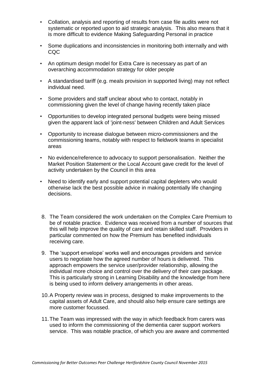- Collation, analysis and reporting of results from case file audits were not systematic or reported upon to aid strategic analysis. This also means that it is more difficult to evidence Making Safeguarding Personal in practice
- Some duplications and inconsistencies in monitoring both internally and with CQC
- An optimum design model for Extra Care is necessary as part of an overarching accommodation strategy for older people
- A standardised tariff (e.g. meals provision in supported living) may not reflect individual need.
- Some providers and staff unclear about who to contact, notably in commissioning given the level of change having recently taken place
- Opportunities to develop integrated personal budgets were being missed given the apparent lack of 'joint-ness' between Children and Adult Services
- Opportunity to increase dialogue between micro-commissioners and the commissioning teams, notably with respect to fieldwork teams in specialist areas
- No evidence/reference to advocacy to support personalisation. Neither the Market Position Statement or the Local Account gave credit for the level of activity undertaken by the Council in this area
- Need to identify early and support potential capital depleters who would otherwise lack the best possible advice in making potentially life changing decisions.
- 8. The Team considered the work undertaken on the Complex Care Premium to be of notable practice. Evidence was received from a number of sources that this will help improve the quality of care and retain skilled staff. Providers in particular commented on how the Premium has benefited individuals receiving care.
- 9. The 'support envelope' works well and encourages providers and service users to negotiate how the agreed number of hours is delivered. This approach empowers the service user/provider relationship, allowing the individual more choice and control over the delivery of their care package. This is particularly strong in Learning Disability and the knowledge from here is being used to inform delivery arrangements in other areas.
- 10.A Property review was in process, designed to make improvements to the capital assets of Adult Care, and should also help ensure care settings are more customer focussed.
- 11.The Team was impressed with the way in which feedback from carers was used to inform the commissioning of the dementia carer support workers service. This was notable practice, of which you are aware and commented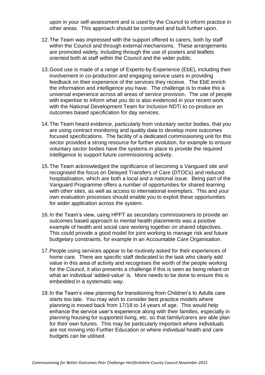upon in your self-assessment and is used by the Council to inform practice in other areas. This approach should be continued and built further upon.

- 12.The Team was impressed with the support offered to carers, both by staff within the Council and through external mechanisms. These arrangements are promoted widely, including through the use of posters and leaflets oriented both at staff within the Council and the wider public.
- 13.Good use is made of a range of Experts-by-Experience (EbE), including their involvement in co-production and engaging service users in providing feedback on their experience of the services they receive. The EbE enrich the information and intelligence you have. The challenge is to make this a universal experience across all areas of service provision. The use of people with expertise to inform what you do is also evidenced in your recent work with the National Development Team for Inclusion NDTi to co-produce an outcomes based specification for day services.
- 14.The Team heard evidence, particularly from voluntary sector bodies, that you are using contract monitoring and quality data to develop more outcomes focused specifications. The facility of a dedicated commissioning unit for this sector provided a strong resource for further evolution, for example to ensure voluntary sector bodies have the systems in place to provide the required intelligence to support future commissioning activity.
- 15.The Team acknowledged the significance of becoming a Vanguard site and recognised the focus on Delayed Transfers of Care (DTOCs) and reduced hospitalisation, which are both a local and a national issue. Being part of the Vanguard Programme offers a number of opportunities for shared learning with other sites, as well as access to international exemplars. This and your own evaluation processes should enable you to exploit these opportunities for wider application across the system.
- 16.In the Team's view, using HPFT as secondary commissioners to provide an outcomes based approach to mental health placements was a positive example of health and social care working together on shared objectives. This could provide a good model for joint working to manage risk and future budgetary constraints, for example in an Accountable Care Organisation.
- 17.People using services appear to be routinely asked for their experiences of home care. There are specific staff dedicated to the task who clearly add value in this area of activity and recognises the worth of the people working for the Council, it also presents a challenge if this is seen as being reliant on what an individual 'added-value' is. More needs to be done to ensure this is embedded in a systematic way.
- 18.In the Team's view planning for transitioning from Children's to Adults care starts too late. You may wish to consider best practice models where planning is moved back from 17/18 to 14 years of age. This would help enhance the service user's experience along with their families, especially in planning housing for supported living, etc. so that family/carers are able plan for their own futures. This may be particularly important where individuals are not moving into Further Education or where individual health and care budgets can be utilised.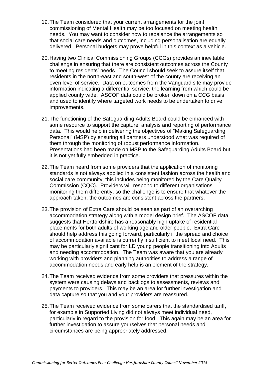- 19.The Team considered that your current arrangements for the joint commissioning of Mental Health may be too focused on meeting health needs. You may want to consider how to rebalance the arrangements so that social care needs and outcomes, including personalisation are equally delivered. Personal budgets may prove helpful in this context as a vehicle.
- 20.Having two Clinical Commissioning Groups (CCGs) provides an inevitable challenge in ensuring that there are consistent outcomes across the County to meeting residents' needs. The Council should seek to assure itself that residents in the north-east and south-west of the county are receiving an even level of service. Data on outcomes from the Vanguard site may provide information indicating a differential service, the learning from which could be applied county wide. ASCOF data could be broken down on a CCG basis and used to identify where targeted work needs to be undertaken to drive improvements.
- 21.The functioning of the Safeguarding Adults Board could be enhanced with some resource to support the capture, analysis and reporting of performance data. This would help in delivering the objectives of "Making Safeguarding Personal" (MSP) by ensuring all partners understood what was required of them through the monitoring of robust performance information. Presentations had been made on MSP to the Safeguarding Adults Board but it is not yet fully embedded in practice.
- 22.The Team heard from some providers that the application of monitoring standards is not always applied in a consistent fashion across the health and social care community; this includes being monitored by the Care Quality Commission (CQC). Providers will respond to different organisations monitoring them differently, so the challenge is to ensure that whatever the approach taken, the outcomes are consistent across the partners.
- 23.The provision of Extra Care should be seen as part of an overarching accommodation strategy along with a model design brief. The ASCOF data suggests that Hertfordshire has a reasonably high uptake of residential placements for both adults of working age and older people. Extra Care should help address this going forward, particularly if the spread and choice of accommodation available is currently insufficient to meet local need. This may be particularly significant for LD young people transitioning into Adults and needing accommodation. The Team was aware that you are already working with providers and planning authorities to address a range of accommodation needs and early help is an element of the strategy.
- 24.The Team received evidence from some providers that pressures within the system were causing delays and backlogs to assessments, reviews and payments to providers. This may be an area for further investigation and data capture so that you and your providers are reassured.
- 25.The Team received evidence from some carers that the standardised tariff, for example in Supported Living did not always meet individual need, particularly in regard to the provision for food. This again may be an area for further investigation to assure yourselves that personal needs and circumstances are being appropriately addressed.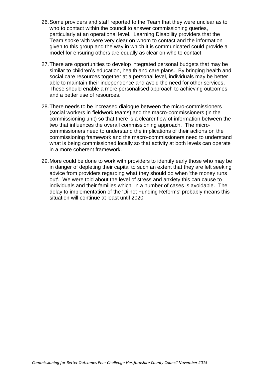- 26.Some providers and staff reported to the Team that they were unclear as to who to contact within the council to answer commissioning queries, particularly at an operational level. Learning Disability providers that the Team spoke with were very clear on whom to contact and the information given to this group and the way in which it is communicated could provide a model for ensuring others are equally as clear on who to contact.
- 27.There are opportunities to develop integrated personal budgets that may be similar to children's education, health and care plans. By bringing health and social care resources together at a personal level, individuals may be better able to maintain their independence and avoid the need for other services. These should enable a more personalised approach to achieving outcomes and a better use of resources.
- 28.There needs to be increased dialogue between the micro-commissioners (social workers in fieldwork teams) and the macro-commissioners (in the commissioning unit) so that there is a clearer flow of information between the two that influences the overall commissioning approach. The microcommissioners need to understand the implications of their actions on the commissioning framework and the macro-commissioners need to understand what is being commissioned locally so that activity at both levels can operate in a more coherent framework.
- 29.More could be done to work with providers to identify early those who may be in danger of depleting their capital to such an extent that they are left seeking advice from providers regarding what they should do when 'the money runs out'. We were told about the level of stress and anxiety this can cause to individuals and their families which, in a number of cases is avoidable. The delay to implementation of the 'Dilnot Funding Reforms' probably means this situation will continue at least until 2020.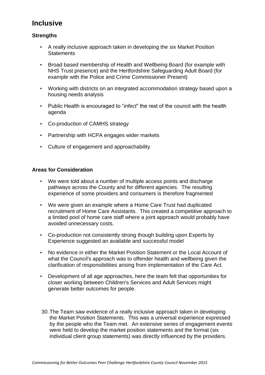## **Inclusive**

#### **Strengths**

- A really inclusive approach taken in developing the six Market Position **Statements**
- Broad based membership of Health and Wellbeing Board (for example with NHS Trust presence) and the Hertfordshire Safeguarding Adult Board (for example with the Police and Crime Commissioner Present)
- Working with districts on an integrated accommodation strategy based upon a housing needs analysis
- Public Health is encouraged to "*infect*" the rest of the council with the health agenda
- Co-production of CAMHS strategy
- Partnership with HCPA engages wider markets
- Culture of engagement and approachability

#### **Areas for Consideration**

- We were told about a number of multiple access points and discharge pathways across the County and for different agencies. The resulting experience of some providers and consumers is therefore fragmented
- We were given an example where a Home Care Trust had duplicated recruitment of Home Care Assistants. This created a competitive approach to a limited pool of home care staff where a joint approach would probably have avoided unnecessary costs.
- Co-production not consistently strong though building upon Experts by Experience suggested an available and successful model
- No evidence in either the Market Position Statement or the Local Account of what the Council's approach was to offender health and wellbeing given the clarification of responsibilities arising from implementation of the Care Act.
- Development of all age approaches, here the team felt that opportunities for closer working between Children's Services and Adult Services might generate better outcomes for people.
- 30.The Team saw evidence of a really inclusive approach taken in developing the Market Position Statements. This was a universal experience expressed by the people who the Team met. An extensive series of engagement events were held to develop the market position statements and the format (six individual client group statements) was directly influenced by the providers.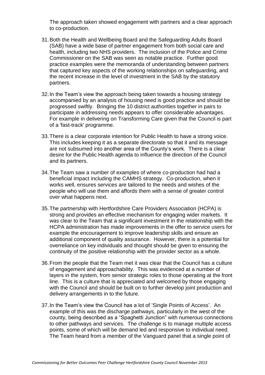The approach taken showed engagement with partners and a clear approach to co-production.

- 31.Both the Health and Wellbeing Board and the Safeguarding Adults Board (SAB) have a wide base of partner engagement from both social care and health, including two NHS providers. The inclusion of the Police and Crime Commissioner on the SAB was seen as notable practice. Further good practice examples were the memoranda of understanding between partners that captured key aspects of the working relationships on safeguarding, and the recent increase in the level of investment in the SAB by the statutory partners.
- 32.In the Team's view the approach being taken towards a housing strategy accompanied by an analysis of housing need is good practice and should be progressed swiftly. Bringing the 10 district authorities together in pairs to participate in addressing needs appears to offer considerable advantages. For example in delivering on Transforming Care given that the Council is part of a 'fast-track' programme.
- 33.There is a clear corporate intention for Public Health to have a strong voice. This includes keeping it as a separate directorate so that it and its message are not subsumed into another area of the County's work. There is a clear desire for the Public Health agenda to influence the direction of the Council and its partners.
- 34.The Team saw a number of examples of where co-production had had a beneficial impact including the CAMHS strategy. Co-production, when it works well, ensures services are tailored to the needs and wishes of the people who will use them and affords them with a sense of greater control over what happens next.
- 35.The partnership with Hertfordshire Care Providers Association (HCPA) is strong and provides an effective mechanism for engaging wider markets. It was clear to the Team that a significant investment in the relationship with the HCPA administration has made improvements in the offer to service users for example the encouragement to improve leadership skills and ensure an additional component of quality assurance. However, there is a potential for overreliance on key individuals and thought should be given to ensuring the continuity of the positive relationship with the provider sector as a whole.
- 36.From the people that the Team met it was clear that the Council has a culture of engagement and approachability. This was evidenced at a number of layers in the system, from senior strategic roles to those operating at the front line. This is a culture that is appreciated and welcomed by those engaging with the Council and should be built on to further develop joint production and delivery arrangements in to the future.
- 37.In the Team's view the Council has a lot of 'Single Points of Access'. An example of this was the discharge pathways, particularly in the west of the county, being described as a "Spaghetti Junction" with numerous connections to other pathways and services. The challenge is to manage multiple access points, some of which will be demand led and responsive to individual need. The Team heard from a member of the Vanguard panel that a single point of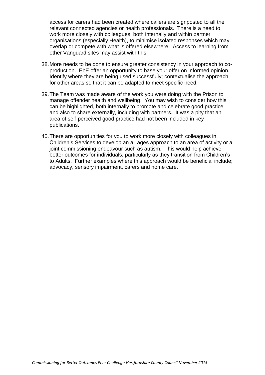access for carers had been created where callers are signposted to all the relevant connected agencies or health professionals. There is a need to work more closely with colleagues, both internally and within partner organisations (especially Health), to minimise isolated responses which may overlap or compete with what is offered elsewhere. Access to learning from other Vanguard sites may assist with this.

- 38.More needs to be done to ensure greater consistency in your approach to coproduction. EbE offer an opportunity to base your offer on informed opinion. Identify where they are being used successfully; contextualise the approach for other areas so that it can be adapted to meet specific need.
- 39.The Team was made aware of the work you were doing with the Prison to manage offender health and wellbeing. You may wish to consider how this can be highlighted, both internally to promote and celebrate good practice and also to share externally, including with partners. It was a pity that an area of self-perceived good practice had not been included in key publications.
- 40.There are opportunities for you to work more closely with colleagues in Children's Services to develop an all ages approach to an area of activity or a joint commissioning endeavour such as autism. This would help achieve better outcomes for individuals, particularly as they transition from Children's to Adults. Further examples where this approach would be beneficial include; advocacy, sensory impairment, carers and home care.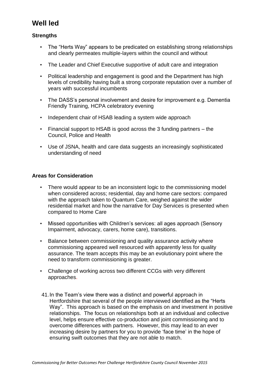## **Well led**

#### **Strengths**

- The "Herts Way" appears to be predicated on establishing strong relationships and clearly permeates multiple-layers within the council and without
- The Leader and Chief Executive supportive of adult care and integration
- Political leadership and engagement is good and the Department has high levels of credibility having built a strong corporate reputation over a number of years with successful incumbents
- The DASS's personal involvement and desire for improvement e.g. Dementia Friendly Training, HCPA celebratory evening
- Independent chair of HSAB leading a system wide approach
- Financial support to HSAB is good across the 3 funding partners the Council, Police and Health
- Use of JSNA, health and care data suggests an increasingly sophisticated understanding of need

#### **Areas for Consideration**

- There would appear to be an inconsistent logic to the commissioning model when considered across; residential, day and home care sectors: compared with the approach taken to Quantum Care, weighed against the wider residential market and how the narrative for Day Services is presented when compared to Home Care
- Missed opportunities with Children's services: all ages approach (Sensory Impairment, advocacy, carers, home care), transitions.
- Balance between commissioning and quality assurance activity where commissioning appeared well resourced with apparently less for quality assurance. The team accepts this may be an evolutionary point where the need to transform commissioning is greater.
- Challenge of working across two different CCGs with very different approaches.
- 41.In the Team's view there was a distinct and powerful approach in Hertfordshire that several of the people interviewed identified as the "Herts Way". This approach is based on the emphasis on and investment in positive relationships. The focus on relationships both at an individual and collective level, helps ensure effective co-production and joint commissioning and to overcome differences with partners. However, this may lead to an ever increasing desire by partners for you to provide 'face time' in the hope of ensuring swift outcomes that they are not able to match.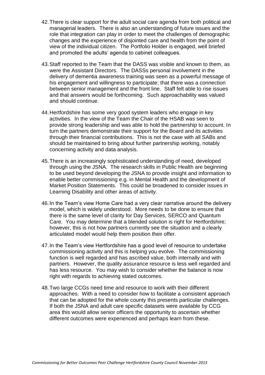- 42.There is clear support for the adult social care agenda from both political and managerial leaders. There is also an understanding of future issues and the role that integration can play in order to meet the challenges of demographic changes and the experience of disjointed care and health from the point of view of the individual citizen. The Portfolio Holder is engaged, well briefed and promoted the adults' agenda to cabinet colleagues.
- 43.Staff reported to the Team that the DASS was visible and known to them, as were the Assistant Directors. The DASSs personal involvement in the delivery of dementia awareness training was seen as a powerful message of his engagement and willingness to participate; that there was a connection between senior management and the front line. Staff felt able to rise issues and that answers would be forthcoming. Such approachability was valued and should continue.
- 44.Hertfordshire has some very good system leaders who engage in key activities. In the view of the Team the Chair of the HSAB was seen to provide strong leadership and was able to hold the partnership to account. In turn the partners demonstrate their support for the Board and its activities through their financial contributions. This is not the case with all SABs and should be maintained to bring about further partnership working, notably concerning activity and data analysis.
- 45.There is an increasingly sophisticated understanding of need, developed through using the JSNA. The research skills in Public Health are beginning to be used beyond developing the JSNA to provide insight and information to enable better commissioning e.g. in Mental Health and the development of Market Position Statements. This could be broadened to consider issues in Learning Disability and other areas of activity.
- 46.In the Team's view Home Care had a very clear narrative around the delivery model, which is widely understood. More needs to be done to ensure that there is the same level of clarity for Day Services, SERCO and Quantum Care. You may determine that a blended solution is right for Hertfordshire; however, this is not how partners currently see the situation and a clearly articulated model would help them position their offer.
- 47.In the Team's view Hertfordshire has a good level of resource to undertake commissioning activity and this is helping you evolve. The commissioning function is well regarded and has ascribed value, both internally and with partners. However, the quality assurance resource is less well regarded and has less resource. You may wish to consider whether the balance is now right with regards to achieving stated outcomes.
- 48.Two large CCGs need time and resource to work with their different approaches. With a need to consider how to facilitate a consistent approach that can be adopted for the whole county this presents particular challenges. If both the JSNA and adult care specific datasets were available by CCG area this would allow senior officers the opportunity to ascertain whether different outcomes were experienced and perhaps learn from these.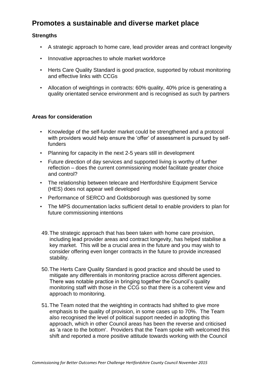## **Promotes a sustainable and diverse market place**

#### **Strengths**

- A strategic approach to home care, lead provider areas and contract longevity
- Innovative approaches to whole market workforce
- Herts Care Quality Standard is good practice, supported by robust monitoring and effective links with CCGs
- Allocation of weightings in contracts: 60% quality, 40% price is generating a quality orientated service environment and is recognised as such by partners

#### **Areas for consideration**

- Knowledge of the self-funder market could be strengthened and a protocol with providers would help ensure the 'offer' of assessment is pursued by selffunders
- Planning for capacity in the next 2-5 years still in development
- Future direction of day services and supported living is worthy of further reflection – does the current commissioning model facilitate greater choice and control?
- The relationship between telecare and Hertfordshire Equipment Service (HES) does not appear well developed
- Performance of SERCO and Goldsborough was questioned by some
- The MPS documentation lacks sufficient detail to enable providers to plan for future commissioning intentions
- 49.The strategic approach that has been taken with home care provision, including lead provider areas and contract longevity, has helped stabilise a key market. This will be a crucial area in the future and you may wish to consider offering even longer contracts in the future to provide increased stability.
- 50.The Herts Care Quality Standard is good practice and should be used to mitigate any differentials in monitoring practice across different agencies. There was notable practice in bringing together the Council's quality monitoring staff with those in the CCG so that there is a coherent view and approach to monitoring.
- 51.The Team noted that the weighting in contracts had shifted to give more emphasis to the quality of provision, in some cases up to 70%. The Team also recognised the level of political support needed in adopting this approach, which in other Council areas has been the reverse and criticised as 'a race to the bottom'. Providers that the Team spoke with welcomed this shift and reported a more positive attitude towards working with the Council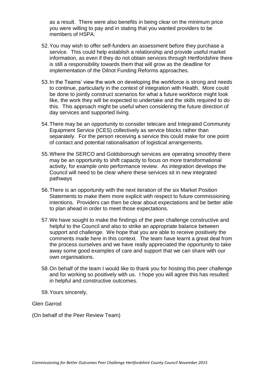as a result. There were also benefits in being clear on the minimum price you were willing to pay and in stating that you wanted providers to be members of HSPA.

- 52.You may wish to offer self-funders an assessment before they purchase a service. This could help establish a relationship and provide useful market information, as even if they do not obtain services through Hertfordshire there is still a responsibility towards them that will grow as the deadline for implementation of the Dilnot Funding Reforms approaches.
- 53.In the Teams' view the work on developing the workforce is strong and needs to continue, particularly in the context of integration with Health. More could be done to jointly construct scenarios for what a future workforce might look like, the work they will be expected to undertake and the skills required to do this. This approach might be useful when considering the future direction of day services and supported living.
- 54.There may be an opportunity to consider telecare and Integrated Community Equipment Service (ICES) collectively as service blocks rather than separately. For the person receiving a service this could make for one point of contact and potential rationalisation of logistical arrangements.
- 55.Where the SERCO and Goldsborough services are operating smoothly there may be an opportunity to shift capacity to focus on more transformational activity, for example onto performance review. As integration develops the Council will need to be clear where these services sit in new integrated pathways
- 56.There is an opportunity with the next iteration of the six Market Position Statements to make them more explicit with respect to future commissioning intentions. Providers can then be clear about expectations and be better able to plan ahead in order to meet those expectations.
- 57.We have sought to make the findings of the peer challenge constructive and helpful to the Council and also to strike an appropriate balance between support and challenge. We hope that you are able to receive positively the comments made here in this context. The team have learnt a great deal from the process ourselves and we have really appreciated the opportunity to take away some good examples of care and support that we can share with our own organisations.
- 58.On behalf of the team I would like to thank you for hosting this peer challenge and for working so positively with us. I hope you will agree this has resulted in helpful and constructive outcomes.
- 59.Yours sincerely,

Glen Garrod

(On behalf of the Peer Review Team)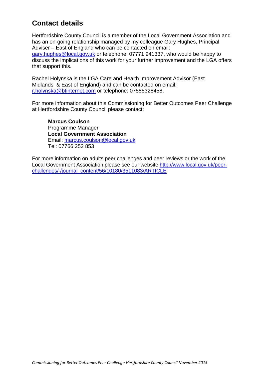## **Contact details**

Hertfordshire County Council is a member of the Local Government Association and has an on-going relationship managed by my colleague Gary Hughes, Principal Adviser – East of England who can be contacted on email:

[gary.hughes@local.gov.uk](mailto:gary.hughes@local.gov.uk) or telephone: 07771 941337, who would be happy to discuss the implications of this work for your further improvement and the LGA offers that support this.

Rachel Holynska is the LGA Care and Health Improvement Advisor (East Midlands & East of England) and can be contacted on email: [r.holynska@btinternet.com](mailto:r.holynska@btinternet.com) or telephone: 07585328458.

For more information about this Commissioning for Better Outcomes Peer Challenge at Hertfordshire County Council please contact:

**Marcus Coulson** Programme Manager **Local Government Association** Email: [marcus.coulson@local.gov.uk](mailto:marcus.coulson@local.gov.uk) Tel: 07766 252 853

For more information on adults peer challenges and peer reviews or the work of the Local Government Association please see our website [http://www.local.gov.uk/peer](http://www.local.gov.uk/peer-challenges/-/journal_content/56/10180/3511083/ARTICLE)[challenges/-/journal\\_content/56/10180/3511083/ARTICLE](http://www.local.gov.uk/peer-challenges/-/journal_content/56/10180/3511083/ARTICLE)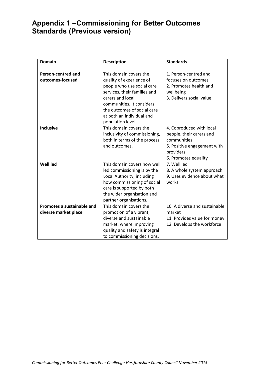## **Appendix 1 –Commissioning for Better Outcomes Standards (Previous version)**

| <b>Domain</b>                                      | <b>Description</b>                                                                                                                                                                                                                                | <b>Standards</b>                                                                                                                        |
|----------------------------------------------------|---------------------------------------------------------------------------------------------------------------------------------------------------------------------------------------------------------------------------------------------------|-----------------------------------------------------------------------------------------------------------------------------------------|
| <b>Person-centred and</b><br>outcomes-focused      | This domain covers the<br>quality of experience of<br>people who use social care<br>services, their families and<br>carers and local<br>communities. It considers<br>the outcomes of social care<br>at both an individual and<br>population level | 1. Person-centred and<br>focuses on outcomes<br>2. Promotes health and<br>wellbeing<br>3. Delivers social value                         |
| <b>Inclusive</b>                                   | This domain covers the<br>inclusivity of commissioning,<br>both in terms of the process<br>and outcomes.                                                                                                                                          | 4. Coproduced with local<br>people, their carers and<br>communities<br>5. Positive engagement with<br>providers<br>6. Promotes equality |
| <b>Well led</b>                                    | This domain covers how well<br>led commissioning is by the<br>Local Authority, including<br>how commissioning of social<br>care is supported by both<br>the wider organisation and<br>partner organisations.                                      | 7. Well led<br>8. A whole system approach<br>9. Uses evidence about what<br>works                                                       |
| Promotes a sustainable and<br>diverse market place | This domain covers the<br>promotion of a vibrant,<br>diverse and sustainable<br>market, where improving<br>quality and safety is integral<br>to commissioning decisions.                                                                          | 10. A diverse and sustainable<br>market<br>11. Provides value for money<br>12. Develops the workforce                                   |